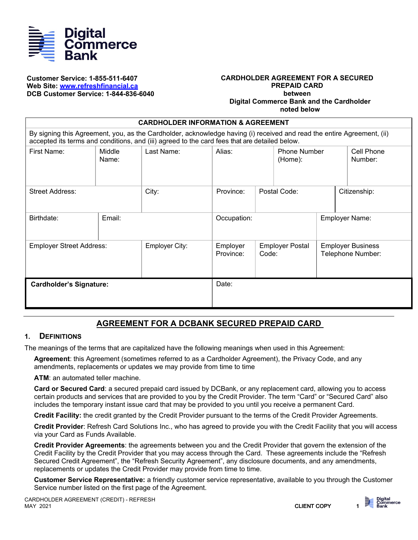

#### **Customer Service: 1-855-511-6407 Web Site: [www.refreshfinancial.ca](http://www.refreshfinancial.ca/) DCB Customer Service: 1-844-836-6040**

#### **CARDHOLDER AGREEMENT FOR A SECURED PREPAID CARD between Digital Commerce Bank and the Cardholder noted below**

| <b>CARDHOLDER INFORMATION &amp; AGREEMENT</b>                                                                                                                                                                           |                 |                |                                          |                                 |  |                                               |              |  |
|-------------------------------------------------------------------------------------------------------------------------------------------------------------------------------------------------------------------------|-----------------|----------------|------------------------------------------|---------------------------------|--|-----------------------------------------------|--------------|--|
| By signing this Agreement, you, as the Cardholder, acknowledge having (i) received and read the entire Agreement, (ii)<br>accepted its terms and conditions, and (iii) agreed to the card fees that are detailed below. |                 |                |                                          |                                 |  |                                               |              |  |
| First Name:                                                                                                                                                                                                             | Middle<br>Name: | Last Name:     | Alias:<br><b>Phone Number</b><br>(Home): |                                 |  | Cell Phone<br>Number:                         |              |  |
| Street Address:                                                                                                                                                                                                         |                 | City:          | Province:                                | Postal Code:                    |  |                                               | Citizenship: |  |
| Birthdate:                                                                                                                                                                                                              | Email:          |                | Occupation:                              |                                 |  | <b>Employer Name:</b>                         |              |  |
| <b>Employer Street Address:</b>                                                                                                                                                                                         |                 | Employer City: | Employer<br>Province:                    | <b>Employer Postal</b><br>Code: |  | <b>Employer Business</b><br>Telephone Number: |              |  |
| <b>Cardholder's Signature:</b>                                                                                                                                                                                          |                 |                | Date:                                    |                                 |  |                                               |              |  |

# **AGREEMENT FOR A DCBANK SECURED PREPAID CARD**

#### **1. DEFINITIONS**

The meanings of the terms that are capitalized have the following meanings when used in this Agreement:

**Agreement**: this Agreement (sometimes referred to as a Cardholder Agreement), the Privacy Code, and any amendments, replacements or updates we may provide from time to time

**ATM**: an automated teller machine.

**Card or Secured Card**: a secured prepaid card issued by DCBank, or any replacement card, allowing you to access certain products and services that are provided to you by the Credit Provider. The term "Card" or "Secured Card" also includes the temporary instant issue card that may be provided to you until you receive a permanent Card.

**Credit Facility:** the credit granted by the Credit Provider pursuant to the terms of the Credit Provider Agreements.

**Credit Provider**: Refresh Card Solutions Inc., who has agreed to provide you with the Credit Facility that you will access via your Card as Funds Available.

**Credit Provider Agreements**: the agreements between you and the Credit Provider that govern the extension of the Credit Facility by the Credit Provider that you may access through the Card. These agreements include the "Refresh Secured Credit Agreement", the "Refresh Security Agreement", any disclosure documents, and any amendments, replacements or updates the Credit Provider may provide from time to time.

**Customer Service Representative:** a friendly customer service representative, available to you through the Customer Service number listed on the first page of the Agreement.

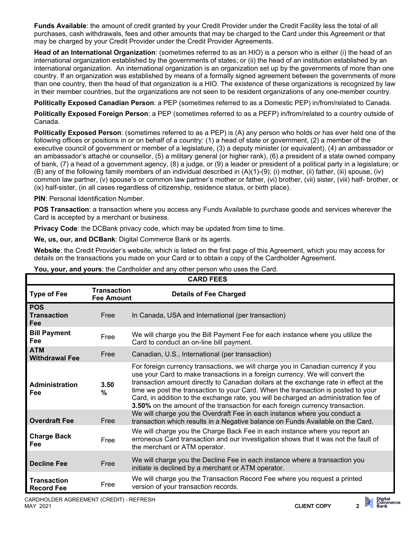**Funds Available**: the amount of credit granted by your Credit Provider under the Credit Facility less the total of all purchases, cash withdrawals, fees and other amounts that may be charged to the Card under this Agreement or that may be charged by your Credit Provider under the Credit Provider Agreements.

**Head of an International Organization**: (sometimes referred to as an HIO) is a person who is either (i) the head of an international organization established by the governments of states; or (ii) the head of an institution established by an international organization. An international organization is an organization set up by the governments of more than one country. If an organization was established by means of a formally signed agreement between the governments of more than one country, then the head of that organization is a HIO. The existence of these organizations is recognized by law in their member countries, but the organizations are not seen to be resident organizations of any one-member country.

**Politically Exposed Canadian Person**: a PEP (sometimes referred to as a Domestic PEP) in/from/related to Canada.

**Politically Exposed Foreign Person**: a PEP (sometimes referred to as a PEFP) in/from/related to a country outside of Canada.

**Politically Exposed Person**: (sometimes referred to as a PEP) is (A) any person who holds or has ever held one of the following offices or positions in or on behalf of a country: (1) a head of state or government, (2) a member of the executive council of government or member of a legislature, (3) a deputy minister (or equivalent), (4) an ambassador or an ambassador's attaché or counsellor, (5) a military general (or higher rank), (6) a president of a state owned company of bank, (7) a head of a government agency, (8) a judge, or (9) a leader or president of a political party in a legislature; or (B) any of the following family members of an individual described in (A)(1)-(9): (i) mother, (ii) father, (iii) spouse, (iv) common law partner, (v) spouse's or common law partner's mother or father, (vi) brother, (vii) sister, (viii) half- brother, or (ix) half-sister, (in all cases regardless of citizenship, residence status, or birth place).

**PIN: Personal Identification Number.** 

**POS Transaction**: a transaction where you access any Funds Available to purchase goods and services wherever the Card is accepted by a merchant or business.

**Privacy Code:** the DCBank privacy code, which may be updated from time to time.

**We, us, our, and DCBank**: Digital Commerce Bank or its agents.

**Website**: the Credit Provider's website, which is listed on the first page of this Agreement, which you may access for details on the transactions you made on your Card or to obtain a copy of the Cardholder Agreement.

| <b>CARD FEES</b>                        |                                         |                                                                                                                                                                                                                                                                                                                                                                                                                                                                                                                           |  |  |  |
|-----------------------------------------|-----------------------------------------|---------------------------------------------------------------------------------------------------------------------------------------------------------------------------------------------------------------------------------------------------------------------------------------------------------------------------------------------------------------------------------------------------------------------------------------------------------------------------------------------------------------------------|--|--|--|
| <b>Type of Fee</b>                      | <b>Transaction</b><br><b>Fee Amount</b> | <b>Details of Fee Charged</b>                                                                                                                                                                                                                                                                                                                                                                                                                                                                                             |  |  |  |
| <b>POS</b><br><b>Transaction</b><br>Fee | Free                                    | In Canada, USA and International (per transaction)                                                                                                                                                                                                                                                                                                                                                                                                                                                                        |  |  |  |
| <b>Bill Payment</b><br>Fee              | Free                                    | We will charge you the Bill Payment Fee for each instance where you utilize the<br>Card to conduct an on-line bill payment.                                                                                                                                                                                                                                                                                                                                                                                               |  |  |  |
| <b>ATM</b><br><b>Withdrawal Fee</b>     | Free                                    | Canadian, U.S., International (per transaction)                                                                                                                                                                                                                                                                                                                                                                                                                                                                           |  |  |  |
| <b>Administration</b><br>Fee            | 3.50<br>$\%$                            | For foreign currency transactions, we will charge you in Canadian currency if you<br>use your Card to make transactions in a foreign currency. We will convert the<br>transaction amount directly to Canadian dollars at the exchange rate in effect at the<br>time we post the transaction to your Card. When the transaction is posted to your<br>Card, in addition to the exchange rate, you will be charged an administration fee of<br>3.50% on the amount of the transaction for each foreign currency transaction. |  |  |  |
| <b>Overdraft Fee</b>                    | Free                                    | We will charge you the Overdraft Fee in each instance where you conduct a<br>transaction which results in a Negative balance on Funds Available on the Card.                                                                                                                                                                                                                                                                                                                                                              |  |  |  |
| <b>Charge Back</b><br>Fee               | Free                                    | We will charge you the Charge Back Fee in each instance where you report an<br>erroneous Card transaction and our investigation shows that it was not the fault of<br>the merchant or ATM operator.                                                                                                                                                                                                                                                                                                                       |  |  |  |
| <b>Decline Fee</b>                      | Free                                    | We will charge you the Decline Fee in each instance where a transaction you<br>initiate is declined by a merchant or ATM operator.                                                                                                                                                                                                                                                                                                                                                                                        |  |  |  |
| <b>Transaction</b><br><b>Record Fee</b> | Free                                    | We will charge you the Transaction Record Fee where you request a printed<br>version of your transaction records.                                                                                                                                                                                                                                                                                                                                                                                                         |  |  |  |

**You, your, and yours**: the Cardholder and any other person who uses the Card.

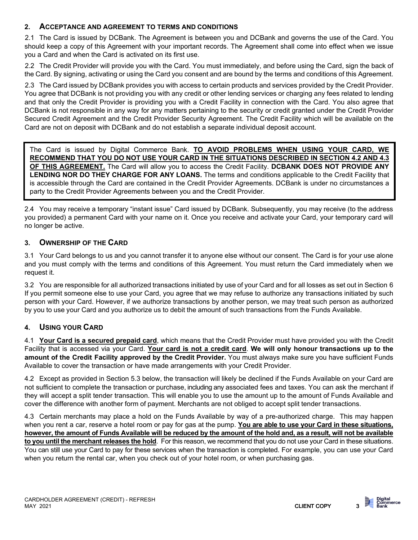# **2. ACCEPTANCE AND AGREEMENT TO TERMS AND CONDITIONS**

2.1 The Card is issued by DCBank. The Agreement is between you and DCBank and governs the use of the Card. You should keep a copy of this Agreement with your important records. The Agreement shall come into effect when we issue you a Card and when the Card is activated on its first use.

2.2 The Credit Provider will provide you with the Card. You must immediately, and before using the Card, sign the back of the Card. By signing, activating or using the Card you consent and are bound by the terms and conditions of this Agreement.

2.3 The Card issued by DCBank provides you with access to certain products and services provided by the Credit Provider. You agree that DCBank is not providing you with any credit or other lending services or charging any fees related to lending and that only the Credit Provider is providing you with a Credit Facility in connection with the Card. You also agree that DCBank is not responsible in any way for any matters pertaining to the security or credit granted under the Credit Provider Secured Credit Agreement and the Credit Provider Security Agreement. The Credit Facility which will be available on the Card are not on deposit with DCBank and do not establish a separate individual deposit account.

The Card is issued by Digital Commerce Bank. **TO AVOID PROBLEMS WHEN USING YOUR CARD, WE RECOMMEND THAT YOU DO NOT USE YOUR CARD IN THE SITUATIONS DESCRIBED IN SECTION 4.2 AND 4.3 OF THIS AGREEMENT.** The Card will allow you to access the Credit Facility. **DCBANK DOES NOT PROVIDE ANY LENDING NOR DO THEY CHARGE FOR ANY LOANS.** The terms and conditions applicable to the Credit Facility that is accessible through the Card are contained in the Credit Provider Agreements. DCBank is under no circumstances a party to the Credit Provider Agreements between you and the Credit Provider.

2.4 You may receive a temporary "instant issue" Card issued by DCBank. Subsequently, you may receive (to the address you provided) a permanent Card with your name on it. Once you receive and activate your Card, your temporary card will no longer be active.

# **3. OWNERSHIP OF THE CARD**

3.1 Your Card belongs to us and you cannot transfer it to anyone else without our consent. The Card is for your use alone and you must comply with the terms and conditions of this Agreement. You must return the Card immediately when we request it.

3.2 You are responsible for all authorized transactions initiated by use of your Card and for all losses as set out in Section 6 If you permit someone else to use your Card, you agree that we may refuse to authorize any transactions initiated by such person with your Card. However, if we authorize transactions by another person, we may treat such person as authorized by you to use your Card and you authorize us to debit the amount of such transactions from the Funds Available.

# **4. USING YOUR CARD**

4.1 **Your Card is a secured prepaid card**, which means that the Credit Provider must have provided you with the Credit Facility that is accessed via your Card. **Your card is not a credit card**. **We will only honour transactions up to the amount of the Credit Facility approved by the Credit Provider.** You must always make sure you have sufficient Funds Available to cover the transaction or have made arrangements with your Credit Provider.

4.2 Except as provided in Section 5.3 below, the transaction will likely be declined if the Funds Available on your Card are not sufficient to complete the transaction or purchase, including any associated fees and taxes. You can ask the merchant if they will accept a split tender transaction. This will enable you to use the amount up to the amount of Funds Available and cover the difference with another form of payment. Merchants are not obliged to accept split tender transactions.

4.3 Certain merchants may place a hold on the Funds Available by way of a pre-authorized charge. This may happen when you rent a car, reserve a hotel room or pay for gas at the pump. **You are able to use your Card in these situations, however, the amount of Funds Available will be reduced by the amount of the hold and, as a result, will not be available to you until the merchant releases the hold**. For this reason, we recommend that you do not use your Card in these situations. You can still use your Card to pay for these services when the transaction is completed. For example, you can use your Card when you return the rental car, when you check out of your hotel room, or when purchasing gas.

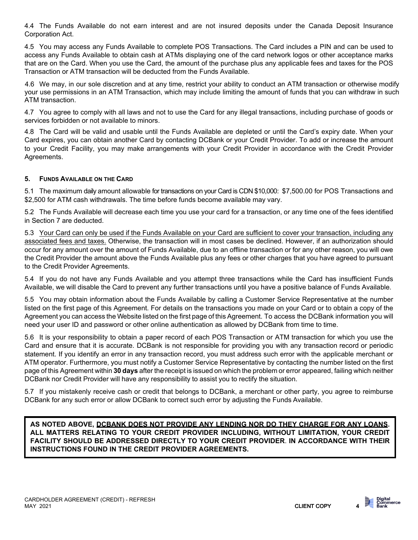4.4 The Funds Available do not earn interest and are not insured deposits under the Canada Deposit Insurance Corporation Act.

4.5 You may access any Funds Available to complete POS Transactions. The Card includes a PIN and can be used to access any Funds Available to obtain cash at ATMs displaying one of the card network logos or other acceptance marks that are on the Card. When you use the Card, the amount of the purchase plus any applicable fees and taxes for the POS Transaction or ATM transaction will be deducted from the Funds Available.

4.6 We may, in our sole discretion and at any time, restrict your ability to conduct an ATM transaction or otherwise modify your use permissions in an ATM Transaction, which may include limiting the amount of funds that you can withdraw in such ATM transaction.

4.7 You agree to comply with all laws and not to use the Card for any illegal transactions, including purchase of goods or services forbidden or not available to minors.

4.8 The Card will be valid and usable until the Funds Available are depleted or until the Card's expiry date. When your Card expires, you can obtain another Card by contacting DCBank or your Credit Provider. To add or increase the amount to your Credit Facility, you may make arrangements with your Credit Provider in accordance with the Credit Provider Agreements.

#### **5. FUNDS AVAILABLE ON THE CARD**

5.1 The maximum daily amount allowable for transactions on your Card is CDN \$10,000: \$7,500.00 for POS Transactions and \$2,500 for ATM cash withdrawals. The time before funds become available may vary.

5.2 The Funds Available will decrease each time you use your card for a transaction, or any time one of the fees identified in Section 7 are deducted.

5.3 Your Card can only be used if the Funds Available on your Card are sufficient to cover your transaction, including any associated fees and taxes. Otherwise, the transaction will in most cases be declined. However, if an authorization should occur for any amount over the amount of Funds Available, due to an offline transaction or for any other reason, you will owe the Credit Provider the amount above the Funds Available plus any fees or other charges that you have agreed to pursuant to the Credit Provider Agreements.

5.4 If you do not have any Funds Available and you attempt three transactions while the Card has insufficient Funds Available, we will disable the Card to prevent any further transactions until you have a positive balance of Funds Available.

5.5 You may obtain information about the Funds Available by calling a Customer Service Representative at the number listed on the first page of this Agreement. For details on the transactions you made on your Card or to obtain a copy of the Agreement you can access the Website listed on the first page of this Agreement. To access the DCBank information you will need your user ID and password or other online authentication as allowed by DCBank from time to time.

5.6 It is your responsibility to obtain a paper record of each POS Transaction or ATM transaction for which you use the Card and ensure that it is accurate. DCBank is not responsible for providing you with any transaction record or periodic statement. If you identify an error in any transaction record, you must address such error with the applicable merchant or ATM operator. Furthermore, you must notify a Customer Service Representative by contacting the number listed on the first page of this Agreement within **30 days** after the receipt is issued on which the problem or error appeared, failing which neither DCBank nor Credit Provider will have any responsibility to assist you to rectify the situation.

5.7 If you mistakenly receive cash or credit that belongs to DCBank, a merchant or other party, you agree to reimburse DCBank for any such error or allow DCBank to correct such error by adjusting the Funds Available.

**AS NOTED ABOVE, DCBANK DOES NOT PROVIDE ANY LENDING NOR DO THEY CHARGE FOR ANY LOANS. ALL MATTERS RELATING TO YOUR CREDIT PROVIDER INCLUDING, WITHOUT LIMITATION, YOUR CREDIT FACILITY SHOULD BE ADDRESSED DIRECTLY TO YOUR CREDIT PROVIDER**. **IN ACCORDANCE WITH THEIR INSTRUCTIONS FOUND IN THE CREDIT PROVIDER AGREEMENTS.**

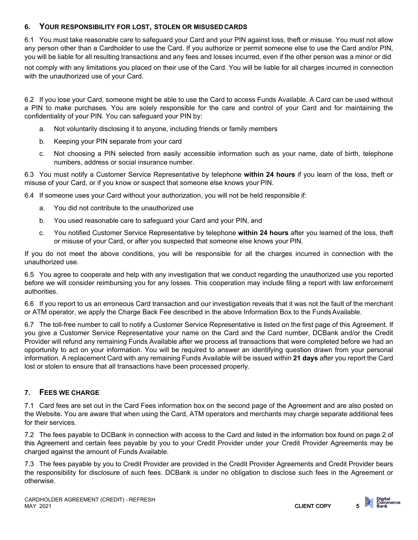## **6. YOUR RESPONSIBILITY FOR LOST, STOLEN OR MISUSED CARDS**

6.1 You must take reasonable care to safeguard your Card and your PIN against loss, theft or misuse. You must not allow any person other than a Cardholder to use the Card. If you authorize or permit someone else to use the Card and/or PIN, you will be liable for all resulting transactions and any fees and losses incurred, even if the other person was a minor or did

not comply with any limitations you placed on their use of the Card. You will be liable for all charges incurred in connection with the unauthorized use of your Card.

6.2 If you lose your Card, someone might be able to use the Card to access Funds Available. A Card can be used without a PIN to make purchases. You are solely responsible for the care and control of your Card and for maintaining the confidentiality of your PIN. You can safeguard your PIN by:

- a. Not voluntarily disclosing it to anyone, including friends or family members
- b. Keeping your PIN separate from your card
- c. Not choosing a PIN selected from easily accessible information such as your name, date of birth, telephone numbers, address or social insurance number.

6.3 You must notify a Customer Service Representative by telephone **within 24 hours** if you learn of the loss, theft or misuse of your Card, or if you know or suspect that someone else knows your PIN.

6.4 If someone uses your Card without your authorization, you will not be held responsible if:

- a. You did not contribute to the unauthorized use
- b. You used reasonable care to safeguard your Card and your PIN, and
- c. You notified Customer Service Representative by telephone **within 24 hours** after you learned of the loss, theft or misuse of your Card, or after you suspected that someone else knows your PIN.

If you do not meet the above conditions, you will be responsible for all the charges incurred in connection with the unauthorized use.

6.5 You agree to cooperate and help with any investigation that we conduct regarding the unauthorized use you reported before we will consider reimbursing you for any losses. This cooperation may include filing a report with law enforcement authorities.

6.6 If you report to us an erroneous Card transaction and our investigation reveals that it was not the fault of the merchant or ATM operator, we apply the Charge Back Fee described in the above Information Box to the FundsAvailable.

6.7 The toll-free number to call to notify a Customer Service Representative is listed on the first page of this Agreement. If you give a Customer Service Representative your name on the Card and the Card number, DCBank and/or the Credit Provider will refund any remaining Funds Available after we process all transactions that were completed before we had an opportunity to act on your information. You will be required to answer an identifying question drawn from your personal information. A replacement Card with any remaining Funds Available will be issued within **21 days** after you report the Card lost or stolen to ensure that all transactions have been processed properly.

# **7. FEES WE CHARGE**

7.1 Card fees are set out in the Card Fees information box on the second page of the Agreement and are also posted on the Website**.** You are aware that when using the Card, ATM operators and merchants may charge separate additional fees for their services.

7.2 The fees payable to DCBank in connection with access to the Card and listed in the information box found on page 2 of this Agreement and certain fees payable by you to your Credit Provider under your Credit Provider Agreements may be charged against the amount of Funds Available.

7.3 The fees payable by you to Credit Provider are provided in the Credit Provider Agreements and Credit Provider bears the responsibility for disclosure of such fees. DCBank is under no obligation to disclose such fees in the Agreement or otherwise.

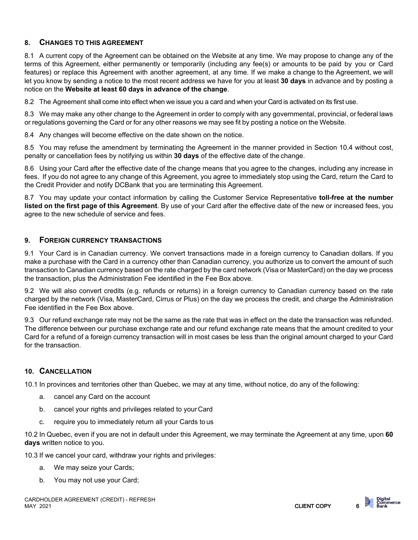# **8. CHANGES TO THIS AGREEMENT**

8.1 A current copy of the Agreement can be obtained on the Website at any time. We may propose to change any of the terms of this Agreement, either permanently or temporarily (including any fee(s) or amounts to be paid by you or Card features) or replace this Agreement with another agreement, at any time. If we make a change to the Agreement, we will let you know by sending a notice to the most recent address we have for you at least **30 days** in advance and by posting a notice on the **Website at least 60 days in advance of the change**.

8.2 The Agreement shall come into effect when we issue you a card and when your Card is activated on its first use.

8.3 We may make any other change to the Agreement in order to comply with any governmental, provincial, or federal laws or regulations governing the Card or for any other reasons we may see fit by posting a notice on the Website.

8.4 Any changes will become effective on the date shown on the notice.

8.5 You may refuse the amendment by terminating the Agreement in the manner provided in Section 10.4 without cost, penalty or cancellation fees by notifying us within **30 days** of the effective date of the change.

8.6 Using your Card after the effective date of the change means that you agree to the changes, including any increase in fees. If you do not agree to any change of this Agreement, you agree to immediately stop using the Card, return the Card to the Credit Provider and notify DCBank that you are terminating this Agreement.

8.7 You may update your contact information by calling the Customer Service Representative **toll-free at the number listed on the first page of this Agreement**. By use of your Card after the effective date of the new or increased fees, you agree to the new schedule of service and fees.

## **9. FOREIGN CURRENCY TRANSACTIONS**

9.1 Your Card is in Canadian currency. We convert transactions made in a foreign currency to Canadian dollars. If you make a purchase with the Card in a currency other than Canadian currency, you authorize us to convert the amount of such transaction to Canadian currency based on the rate charged by the card network (Visa or MasterCard) on the day we process the transaction, plus the Administration Fee identified in the Fee Box above.

9.2 We will also convert credits (e.g. refunds or returns) in a foreign currency to Canadian currency based on the rate charged by the network (Visa, MasterCard, Cirrus or Plus) on the day we process the credit, and charge the Administration Fee identified in the Fee Box above.

9.3 Our refund exchange rate may not be the same as the rate that was in effect on the date the transaction was refunded. The difference between our purchase exchange rate and our refund exchange rate means that the amount credited to your Card for a refund of a foreign currency transaction will in most cases be less than the original amount charged to your Card for the transaction.

# **10. CANCELLATION**

10.1 In provinces and territories other than Quebec, we may at any time, without notice, do any of the following:

- a. cancel any Card on the account
- b. cancel your rights and privileges related to yourCard
- c. require you to immediately return all your Cards tous

10.2 In Quebec, even if you are not in default under this Agreement, we may terminate the Agreement at any time, upon **60 days** written notice to you.

10.3 If we cancel your card, withdraw your rights and privileges:

- a. We may seize your Cards;
- b. You may not use your Card;

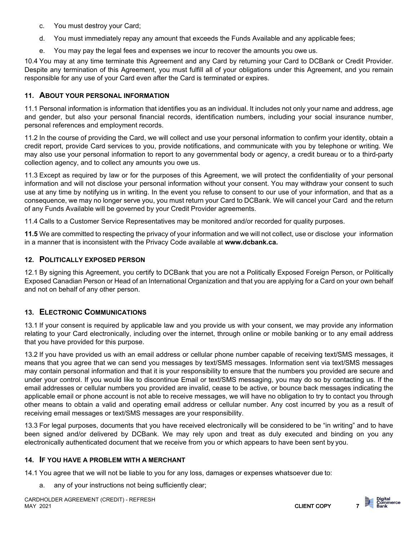- c. You must destroy your Card;
- d. You must immediately repay any amount that exceeds the Funds Available and any applicable fees;
- e. You may pay the legal fees and expenses we incur to recover the amounts you owe us.

10.4 You may at any time terminate this Agreement and any Card by returning your Card to DCBank or Credit Provider. Despite any termination of this Agreement, you must fulfill all of your obligations under this Agreement, and you remain responsible for any use of your Card even after the Card is terminated or expires.

# **11. ABOUT YOUR PERSONAL INFORMATION**

11.1 Personal information is information that identifies you as an individual. It includes not only your name and address, age and gender, but also your personal financial records, identification numbers, including your social insurance number, personal references and employment records.

11.2 In the course of providing the Card, we will collect and use your personal information to confirm your identity, obtain a credit report, provide Card services to you, provide notifications, and communicate with you by telephone or writing. We may also use your personal information to report to any governmental body or agency, a credit bureau or to a third-party collection agency, and to collect any amounts you owe us.

11.3 Except as required by law or for the purposes of this Agreement, we will protect the confidentiality of your personal information and will not disclose your personal information without your consent. You may withdraw your consent to such use at any time by notifying us in writing. In the event you refuse to consent to our use of your information, and that as a consequence, we may no longer serve you, you must return your Card to DCBank. We will cancel your Card and the return of any Funds Available will be governed by your Credit Provider agreements.

11.4 Calls to a Customer Service Representatives may be monitored and/or recorded for quality purposes.

**11.5** We are committed to respecting the privacy of your information and we will not collect, use or disclose your information in a manner that is inconsistent with the Privacy Code available at **[www.dcbank.ca.](http://www.dcbank.ca/)**

## **12. POLITICALLY EXPOSED PERSON**

12.1 By signing this Agreement, you certify to DCBank that you are not a Politically Exposed Foreign Person, or Politically Exposed Canadian Person or Head of an International Organization and that you are applying for a Card on your own behalf and not on behalf of any other person.

# **13. ELECTRONIC COMMUNICATIONS**

13.1 If your consent is required by applicable law and you provide us with your consent, we may provide any information relating to your Card electronically, including over the internet, through online or mobile banking or to any email address that you have provided for this purpose.

13.2 If you have provided us with an email address or cellular phone number capable of receiving text/SMS messages, it means that you agree that we can send you messages by text/SMS messages. Information sent via text/SMS messages may contain personal information and that it is your responsibility to ensure that the numbers you provided are secure and under your control. If you would like to discontinue Email or text/SMS messaging, you may do so by contacting us. If the email addresses or cellular numbers you provided are invalid, cease to be active, or bounce back messages indicating the applicable email or phone account is not able to receive messages, we will have no obligation to try to contact you through other means to obtain a valid and operating email address or cellular number. Any cost incurred by you as a result of receiving email messages or text/SMS messages are your responsibility.

13.3 For legal purposes, documents that you have received electronically will be considered to be "in writing" and to have been signed and/or delivered by DCBank. We may rely upon and treat as duly executed and binding on you any electronically authenticated document that we receive from you or which appears to have been sent by you.

#### **14. IF YOU HAVE A PROBLEM WITH A MERCHANT**

14.1 You agree that we will not be liable to you for any loss, damages or expenses whatsoever due to:

any of your instructions not being sufficiently clear;

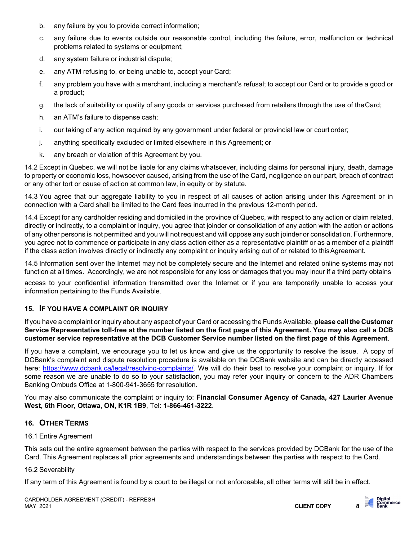- b. any failure by you to provide correct information;
- c. any failure due to events outside our reasonable control, including the failure, error, malfunction or technical problems related to systems or equipment;
- d. any system failure or industrial dispute;
- e. any ATM refusing to, or being unable to, accept your Card;
- f. any problem you have with a merchant, including a merchant's refusal; to accept our Card or to provide a good or a product;
- g. the lack of suitability or quality of any goods or services purchased from retailers through the use of theCard;
- h. an ATM's failure to dispense cash;
- i. our taking of any action required by any government under federal or provincial law or court order;
- j. anything specifically excluded or limited elsewhere in this Agreement; or
- k. any breach or violation of this Agreement by you.

14.2 Except in Quebec, we will not be liable for any claims whatsoever, including claims for personal injury, death, damage to property or economic loss, howsoever caused, arising from the use of the Card, negligence on our part, breach of contract or any other tort or cause of action at common law, in equity or by statute.

14.3 You agree that our aggregate liability to you in respect of all causes of action arising under this Agreement or in connection with a Card shall be limited to the Card fees incurred in the previous 12-month period.

14.4 Except for any cardholder residing and domiciled in the province of Quebec, with respect to any action or claim related, directly or indirectly, to a complaint or inquiry, you agree that joinder or consolidation of any action with the action or actions of any other persons is not permitted and you will not request and will oppose any such joinder or consolidation. Furthermore, you agree not to commence or participate in any class action either as a representative plaintiff or as a member of a plaintiff if the class action involves directly or indirectly any complaint or inquiry arising out of or related to this Agreement.

14.5 Information sent over the Internet may not be completely secure and the Internet and related online systems may not function at all times. Accordingly, we are not responsible for any loss or damages that you may incur if a third party obtains

access to your confidential information transmitted over the Internet or if you are temporarily unable to access your information pertaining to the Funds Available.

# **15. IF YOU HAVE A COMPLAINT OR INQUIRY**

If you have a complaint or inquiry about any aspect of your Card or accessing the Funds Available, **please call the Customer Service Representative toll-free at the number listed on the first page of this Agreement. You may also call a DCB customer service representative at the DCB Customer Service number listed on the first page of this Agreement**.

If you have a complaint, we encourage you to let us know and give us the opportunity to resolve the issue. A copy of DCBank's complaint and dispute resolution procedure is available on the DCBank website and can be directly accessed here: [https://www.dcbank.ca/legal/resolving-complaints/.](https://www.dcbank.ca/legal/resolving-complaints/) We will do their best to resolve your complaint or inquiry. If for some reason we are unable to do so to your satisfaction, you may refer your inquiry or concern to the ADR Chambers Banking Ombuds Office at 1-800-941-3655 for resolution.

You may also communicate the complaint or inquiry to: **Financial Consumer Agency of Canada, 427 Laurier Avenue West, 6th Floor, Ottawa, ON, K1R 1B9**, Tel: **1-866-461-3222**.

# **16. OTHER TERMS**

#### 16.1 Entire Agreement

This sets out the entire agreement between the parties with respect to the services provided by DCBank for the use of the Card. This Agreement replaces all prior agreements and understandings between the parties with respect to the Card.

#### 16.2 Severability

If any term of this Agreement is found by a court to be illegal or not enforceable, all other terms will still be in effect.